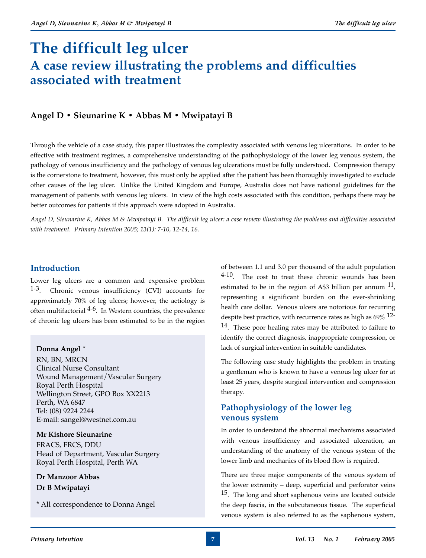# **The difficult leg ulcer A case review illustrating the problems and difficulties associated with treatment**

# **Angel D • Sieunarine K • Abbas M • Mwipatayi B**

Through the vehicle of a case study, this paper illustrates the complexity associated with venous leg ulcerations. In order to be effective with treatment regimes, a comprehensive understanding of the pathophysiology of the lower leg venous system, the pathology of venous insufficiency and the pathology of venous leg ulcerations must be fully understood. Compression therapy is the cornerstone to treatment, however, this must only be applied after the patient has been thoroughly investigated to exclude other causes of the leg ulcer. Unlike the United Kingdom and Europe, Australia does not have national guidelines for the management of patients with venous leg ulcers. In view of the high costs associated with this condition, perhaps there may be better outcomes for patients if this approach were adopted in Australia.

*Angel D, Sieunarine K, Abbas M & Mwipatayi B. The difficult leg ulcer: a case review illustrating the problems and difficulties associated with treatment. Primary Intention 2005; 13(1): 7-10, 12-14, 16.*

## **Introduction**

Lower leg ulcers are a common and expensive problem 1-3. Chronic venous insufficiency (CVI) accounts for approximately 70% of leg ulcers; however, the aetiology is often multifactorial  $4-6$ . In Western countries, the prevalence of chronic leg ulcers has been estimated to be in the region

## **Donna Angel \***

RN, BN, MRCN Clinical Nurse Consultant Wound Management/Vascular Surgery Royal Perth Hospital Wellington Street, GPO Box XX2213 Perth, WA 6847 Tel: (08) 9224 2244 E-mail: sangel@westnet.com.au

## **Mr Kishore Sieunarine**

FRACS, FRCS, DDU Head of Department, Vascular Surgery Royal Perth Hospital, Perth WA

**Dr Manzoor Abbas Dr B Mwipatayi**

\* All correspondence to Donna Angel

of between 1.1 and 3.0 per thousand of the adult population  $4-10$ . The cost to treat these chronic wounds has been estimated to be in the region of A\$3 billion per annum  $^{11}$ , representing a significant burden on the ever-shrinking health care dollar. Venous ulcers are notorious for recurring despite best practice, with recurrence rates as high as  $69\%$  12-14. These poor healing rates may be attributed to failure to identify the correct diagnosis, inappropriate compression, or lack of surgical intervention in suitable candidates.

The following case study highlights the problem in treating a gentleman who is known to have a venous leg ulcer for at least 25 years, despite surgical intervention and compression therapy.

# **Pathophysiology of the lower leg venous system**

In order to understand the abnormal mechanisms associated with venous insufficiency and associated ulceration, an understanding of the anatomy of the venous system of the lower limb and mechanics of its blood flow is required.

There are three major components of the venous system of the lower extremity – deep, superficial and perforator veins <sup>15</sup>. The long and short saphenous veins are located outside the deep fascia, in the subcutaneous tissue. The superficial venous system is also referred to as the saphenous system,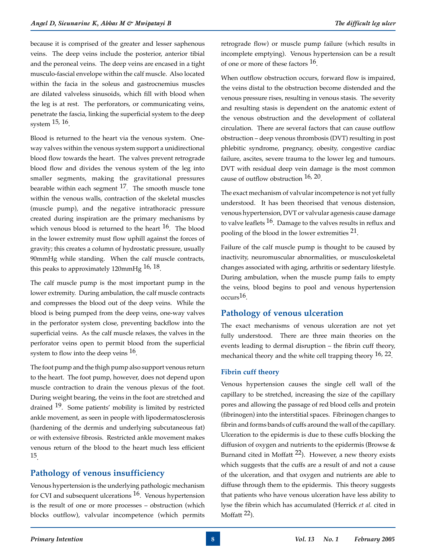because it is comprised of the greater and lesser saphenous veins. The deep veins include the posterior, anterior tibial and the peroneal veins. The deep veins are encased in a tight musculo-fascial envelope within the calf muscle. Also located within the facia in the soleus and gastrocnemius muscles are dilated valveless sinusoids, which fill with blood when the leg is at rest. The perforators, or communicating veins, penetrate the fascia, linking the superficial system to the deep system 15, 16<sub>.</sub>

Blood is returned to the heart via the venous system. Oneway valves within the venous system support a unidirectional blood flow towards the heart. The valves prevent retrograde blood flow and divides the venous system of the leg into smaller segments, making the gravitational pressures bearable within each segment  $17$ . The smooth muscle tone within the venous walls, contraction of the skeletal muscles (muscle pump), and the negative intrathoracic pressure created during inspiration are the primary mechanisms by which venous blood is returned to the heart  $^{16}$ . The blood in the lower extremity must flow uphill against the forces of gravity; this creates a column of hydrostatic pressure, usually 90mmHg while standing. When the calf muscle contracts, this peaks to approximately 120mmHg <sup>16, 18</sup>.

The calf muscle pump is the most important pump in the lower extremity. During ambulation, the calf muscle contracts and compresses the blood out of the deep veins. While the blood is being pumped from the deep veins, one-way valves in the perforator system close, preventing backflow into the superficial veins. As the calf muscle relaxes, the valves in the perforator veins open to permit blood from the superficial system to flow into the deep veins <sup>16</sup>.

The foot pump and the thigh pump also support venous return to the heart. The foot pump, however, does not depend upon muscle contraction to drain the venous plexus of the foot. During weight bearing, the veins in the foot are stretched and drained 19. Some patients' mobility is limited by restricted ankle movement, as seen in people with lipodermatosclerosis (hardening of the dermis and underlying subcutaneous fat) or with extensive fibrosis. Restricted ankle movement makes venous return of the blood to the heart much less efficient 15.

# **Pathology of venous insufficiency**

Venous hypertension is the underlying pathologic mechanism for CVI and subsequent ulcerations  $16$ . Venous hypertension is the result of one or more processes – obstruction (which blocks outflow), valvular incompetence (which permits

retrograde flow) or muscle pump failure (which results in incomplete emptying). Venous hypertension can be a result of one or more of these factors  $16$ .

When outflow obstruction occurs, forward flow is impaired, the veins distal to the obstruction become distended and the venous pressure rises, resulting in venous stasis. The severity and resulting stasis is dependent on the anatomic extent of the venous obstruction and the development of collateral circulation. There are several factors that can cause outflow obstruction – deep venous thrombosis (DVT) resulting in post phlebitic syndrome, pregnancy, obesity, congestive cardiac failure, ascites, severe trauma to the lower leg and tumours. DVT with residual deep vein damage is the most common cause of outflow obstruction 16, 20.

The exact mechanism of valvular incompetence is not yet fully understood. It has been theorised that venous distension, venous hypertension, DVT or valvular agenesis cause damage to valve leaflets  $^{16}$ . Damage to the valves results in reflux and pooling of the blood in the lower extremities 21.

Failure of the calf muscle pump is thought to be caused by inactivity, neuromuscular abnormalities, or musculoskeletal changes associated with aging, arthritis or sedentary lifestyle. During ambulation, when the muscle pump fails to empty the veins, blood begins to pool and venous hypertension  $occurs<sup>16</sup>$ .

## **Pathology of venous ulceration**

The exact mechanisms of venous ulceration are not yet fully understood. There are three main theories on the events leading to dermal disruption – the fibrin cuff theory, mechanical theory and the white cell trapping theory 16, 22.

#### **Fibrin cuff theory**

Venous hypertension causes the single cell wall of the capillary to be stretched, increasing the size of the capillary pores and allowing the passage of red blood cells and protein (fibrinogen) into the interstitial spaces. Fibrinogen changes to fibrin and forms bands of cuffs around the wall of the capillary. Ulceration to the epidermis is due to these cuffs blocking the diffusion of oxygen and nutrients to the epidermis (Browse  $\&$ Burnand cited in Moffatt  $^{22}$ ). However, a new theory exists which suggests that the cuffs are a result of and not a cause of the ulceration, and that oxygen and nutrients are able to diffuse through them to the epidermis. This theory suggests that patients who have venous ulceration have less ability to lyse the fibrin which has accumulated (Herrick *et al.* cited in Moffatt  $^{22}$ ).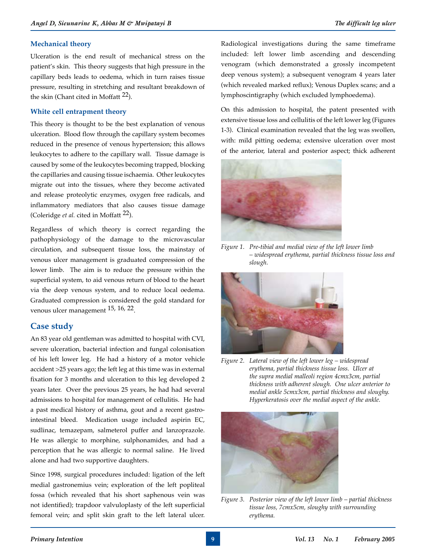### **Mechanical theory**

Ulceration is the end result of mechanical stress on the patient's skin. This theory suggests that high pressure in the capillary beds leads to oedema, which in turn raises tissue pressure, resulting in stretching and resultant breakdown of the skin (Chant cited in Moffatt 22).

#### **White cell entrapment theory**

This theory is thought to be the best explanation of venous ulceration. Blood flow through the capillary system becomes reduced in the presence of venous hypertension; this allows leukocytes to adhere to the capillary wall. Tissue damage is caused by some of the leukocytes becoming trapped, blocking the capillaries and causing tissue ischaemia. Other leukocytes migrate out into the tissues, where they become activated and release proteolytic enzymes, oxygen free radicals, and inflammatory mediators that also causes tissue damage (Coleridge *et al.* cited in Moffatt <sup>22</sup>).

Regardless of which theory is correct regarding the pathophysiology of the damage to the microvascular circulation, and subsequent tissue loss, the mainstay of venous ulcer management is graduated compression of the lower limb. The aim is to reduce the pressure within the superficial system, to aid venous return of blood to the heart via the deep venous system, and to reduce local oedema. Graduated compression is considered the gold standard for venous ulcer management 15, 16, 22.

## **Case study**

An 83 year old gentleman was admitted to hospital with CVI, severe ulceration, bacterial infection and fungal colonisation of his left lower leg. He had a history of a motor vehicle accident >25 years ago; the left leg at this time was in external fixation for 3 months and ulceration to this leg developed 2 years later. Over the previous 25 years, he had had several admissions to hospital for management of cellulitis. He had a past medical history of asthma, gout and a recent gastrointestinal bleed. Medication usage included aspirin EC, sudlinac, temazepam, salmeterol puffer and lanzoprazole. He was allergic to morphine, sulphonamides, and had a perception that he was allergic to normal saline. He lived alone and had two supportive daughters.

Since 1998, surgical procedures included: ligation of the left medial gastronemius vein; exploration of the left popliteal fossa (which revealed that his short saphenous vein was not identified); trapdoor valvuloplasty of the left superficial femoral vein; and split skin graft to the left lateral ulcer.

Radiological investigations during the same timeframe included: left lower limb ascending and descending venogram (which demonstrated a grossly incompetent deep venous system); a subsequent venogram 4 years later (which revealed marked reflux); Venous Duplex scans; and a lymphoscintigraphy (which excluded lymphoedema).

On this admission to hospital, the patent presented with extensive tissue loss and cellulitis of the left lower leg (Figures 1-3). Clinical examination revealed that the leg was swollen, with: mild pitting oedema; extensive ulceration over most of the anterior, lateral and posterior aspect; thick adherent



*Figure 1. Pre-tibial and medial view of the left lower limb – widespread erythema, partial thickness tissue loss and slough.*



*Figure 2. Lateral view of the left lower leg – widespread erythema, partial thickness tissue loss. Ulcer at the supra medial malleoli region 4cmx3cm, partial thickness with adherent slough. One ulcer anterior to medial ankle 5cmx3cm, partial thickness and sloughy. Hyperkeratosis over the medial aspect of the ankle.*



*Figure 3. Posterior view of the left lower limb – partial thickness tissue loss, 7cmx5cm, sloughy with surrounding erythema.*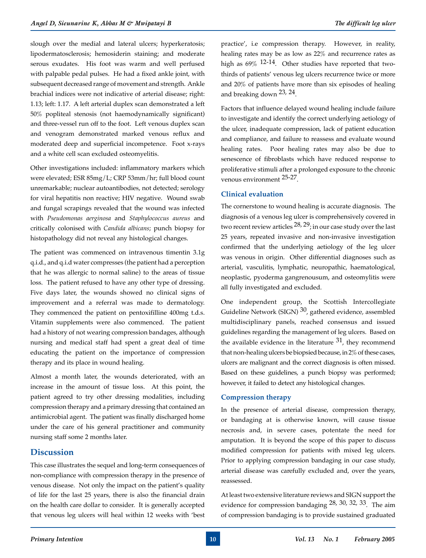slough over the medial and lateral ulcers; hyperkeratosis; lipodermatosclerosis; hemosiderin staining; and moderate serous exudates. His foot was warm and well perfused with palpable pedal pulses. He had a fixed ankle joint, with subsequent decreased range of movement and strength. Ankle brachial indices were not indicative of arterial disease; right: 1.13; left: 1.17. A left arterial duplex scan demonstrated a left 50% popliteal stenosis (not haemodynamically significant) and three-vessel run off to the foot. Left venous duplex scan and venogram demonstrated marked venous reflux and moderated deep and superficial incompetence. Foot x-rays and a white cell scan excluded osteomyelitis.

Other investigations included: inflammatory markers which were elevated; ESR 85mg/L; CRP 53mm/hr; full blood count unremarkable; nuclear autoantibodies, not detected; serology for viral hepatitis non reactive; HIV negative. Wound swab and fungal scrapings revealed that the wound was infected with *Pseudomonas aerginosa* and *Staphylococcus aureus* and critically colonised with *Candida albicans*; punch biopsy for histopathology did not reveal any histological changes.

The patient was commenced on intravenous timentin 3.1g q.i.d., and q.i.d water compresses (the patient had a perception that he was allergic to normal saline) to the areas of tissue loss. The patient refused to have any other type of dressing. Five days later, the wounds showed no clinical signs of improvement and a referral was made to dermatology. They commenced the patient on pentoxifilline 400mg t.d.s. Vitamin supplements were also commenced. The patient had a history of not wearing compression bandages, although nursing and medical staff had spent a great deal of time educating the patient on the importance of compression therapy and its place in wound healing.

Almost a month later, the wounds deteriorated, with an increase in the amount of tissue loss. At this point, the patient agreed to try other dressing modalities, including compression therapy and a primary dressing that contained an antimicrobial agent. The patient was finally discharged home under the care of his general practitioner and community nursing staff some 2 months later.

## **Discussion**

This case illustrates the sequel and long-term consequences of non-compliance with compression therapy in the presence of venous disease. Not only the impact on the patient's quality of life for the last 25 years, there is also the financial drain on the health care dollar to consider. It is generally accepted that venous leg ulcers will heal within 12 weeks with 'best

practice', i.e compression therapy. However, in reality, healing rates may be as low as 22% and recurrence rates as high as 69% 12-14. Other studies have reported that twothirds of patients' venous leg ulcers recurrence twice or more and 20% of patients have more than six episodes of healing and breaking down 23, 24.

Factors that influence delayed wound healing include failure to investigate and identify the correct underlying aetiology of the ulcer, inadequate compression, lack of patient education and compliance, and failure to reassess and evaluate wound healing rates. Poor healing rates may also be due to senescence of fibroblasts which have reduced response to proliferative stimuli after a prolonged exposure to the chronic venous environment 25-27.

### **Clinical evaluation**

The cornerstone to wound healing is accurate diagnosis. The diagnosis of a venous leg ulcer is comprehensively covered in two recent review articles  $28, 29$ ; in our case study over the last 25 years, repeated invasive and non-invasive investigation confirmed that the underlying aetiology of the leg ulcer was venous in origin. Other differential diagnoses such as arterial, vasculitis, lymphatic, neuropathic, haematological, neoplastic, pyoderma gangrenousum, and osteomylitis were all fully investigated and excluded.

One independent group, the Scottish Intercollegiate Guideline Network (SIGN)  $30$ , gathered evidence, assembled multidisciplinary panels, reached consensus and issued guidelines regarding the management of leg ulcers. Based on the available evidence in the literature  $31$ , they recommend that non-healing ulcers be biopsied because, in 2% of these cases, ulcers are malignant and the correct diagnosis is often missed. Based on these guidelines, a punch biopsy was performed; however, it failed to detect any histological changes.

## **Compression therapy**

In the presence of arterial disease, compression therapy, or bandaging at is otherwise known, will cause tissue necrosis and, in severe cases, potentate the need for amputation. It is beyond the scope of this paper to discuss modified compression for patients with mixed leg ulcers. Prior to applying compression bandaging in our case study, arterial disease was carefully excluded and, over the years, reassessed.

At least two extensive literature reviews and SIGN support the evidence for compression bandaging  $28$ ,  $30$ ,  $32$ ,  $33$ . The aim of compression bandaging is to provide sustained graduated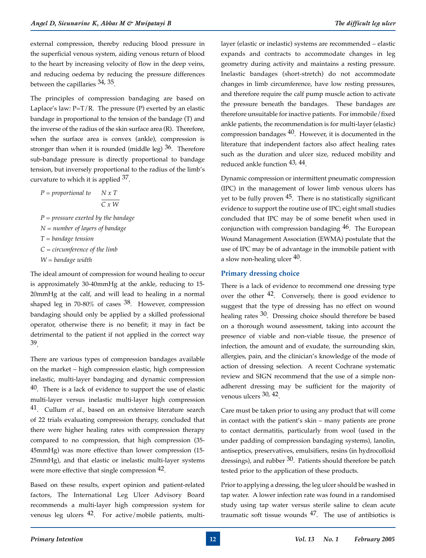external compression, thereby reducing blood pressure in the superficial venous system, aiding venous return of blood to the heart by increasing velocity of flow in the deep veins, and reducing oedema by reducing the pressure differences between the capillaries 34, 35.

The principles of compression bandaging are based on Laplace's law:  $P=T/R$ . The pressure (P) exerted by an elastic bandage in proportional to the tension of the bandage (T) and the inverse of the radius of the skin surface area (R). Therefore, when the surface area is convex (ankle), compression is stronger than when it is rounded (middle leg)  $36$ . Therefore sub-bandage pressure is directly proportional to bandage tension, but inversely proportional to the radius of the limb's curvature to which it is applied  $37$ .

$$
P = proportional\ to
$$

$$
N x T
$$

$$
\overline{C x W}
$$

*P = pressure exerted by the bandage N = number of layers of bandage T = bandage tension C = circumference of the limb W = bandage width*

The ideal amount of compression for wound healing to occur is approximately 30-40mmHg at the ankle, reducing to 15- 20mmHg at the calf, and will lead to healing in a normal shaped leg in 70-80% of cases  $38$ . However, compression bandaging should only be applied by a skilled professional operator, otherwise there is no benefit; it may in fact be detrimental to the patient if not applied in the correct way 39.

There are various types of compression bandages available on the market – high compression elastic, high compression inelastic, multi-layer bandaging and dynamic compression  $40$ . There is a lack of evidence to support the use of elastic multi-layer versus inelastic multi-layer high compression 41. Cullum *et al.*, based on an extensive literature search of 22 trials evaluating compression therapy, concluded that there were higher healing rates with compression therapy compared to no compression, that high compression (35- 45mmHg) was more effective than lower compression (15- 25mmHg), and that elastic or inelastic multi-layer systems were more effective that single compression  $42$ .

Based on these results, expert opinion and patient-related factors, The International Leg Ulcer Advisory Board recommends a multi-layer high compression system for venous leg ulcers 42. For active/mobile patients, multilayer (elastic or inelastic) systems are recommended – elastic expands and contracts to accommodate changes in leg geometry during activity and maintains a resting pressure. Inelastic bandages (short-stretch) do not accommodate changes in limb circumference, have low resting pressures, and therefore require the calf pump muscle action to activate the pressure beneath the bandages. These bandages are therefore unsuitable for inactive patients. For immobile/fixed ankle patients, the recommendation is for multi-layer (elastic) compression bandages  $40$ . However, it is documented in the literature that independent factors also affect healing rates such as the duration and ulcer size, reduced mobility and reduced ankle function 43, 44.

Dynamic compression or intermittent pneumatic compression (IPC) in the management of lower limb venous ulcers has yet to be fully proven  $45$ . There is no statistically significant evidence to support the routine use of IPC; eight small studies concluded that IPC may be of some benefit when used in conjunction with compression bandaging  $46$ . The European Wound Management Association (EWMA) postulate that the use of IPC may be of advantage in the immobile patient with a slow non-healing ulcer  $40$ .

#### **Primary dressing choice**

There is a lack of evidence to recommend one dressing type over the other  $42$ . Conversely, there is good evidence to suggest that the type of dressing has no effect on wound healing rates <sup>30</sup>. Dressing choice should therefore be based on a thorough wound assessment, taking into account the presence of viable and non-viable tissue, the presence of infection, the amount and of exudate, the surrounding skin, allergies, pain, and the clinician's knowledge of the mode of action of dressing selection. A recent Cochrane systematic review and SIGN recommend that the use of a simple nonadherent dressing may be sufficient for the majority of venous ulcers 30, 42.

Care must be taken prior to using any product that will come in contact with the patient's skin – many patients are prone to contact dermatitis, particularly from wool (used in the under padding of compression bandaging systems), lanolin, antiseptics, preservatives, emulsifiers, resins (in hydrocolloid dressings), and rubber  $30$ . Patients should therefore be patch tested prior to the application of these products.

Prior to applying a dressing, the leg ulcer should be washed in tap water. A lower infection rate was found in a randomised study using tap water versus sterile saline to clean acute traumatic soft tissue wounds  $47$ . The use of antibiotics is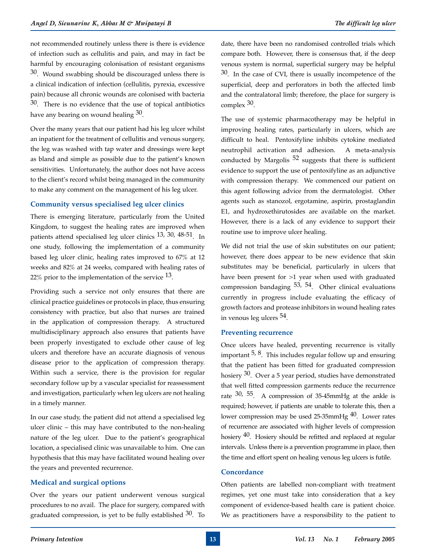not recommended routinely unless there is there is evidence of infection such as cellulitis and pain, and may in fact be harmful by encouraging colonisation of resistant organisms  $30$ . Wound swabbing should be discouraged unless there is a clinical indication of infection (cellulitis, pyrexia, excessive pain) because all chronic wounds are colonised with bacteria 30. There is no evidence that the use of topical antibiotics have any bearing on wound healing 30.

Over the many years that our patient had his leg ulcer whilst an inpatient for the treatment of cellulitis and venous surgery, the leg was washed with tap water and dressings were kept as bland and simple as possible due to the patient's known sensitivities. Unfortunately, the author does not have access to the client's record whilst being managed in the community to make any comment on the management of his leg ulcer.

#### **Community versus specialised leg ulcer clinics**

There is emerging literature, particularly from the United Kingdom, to suggest the healing rates are improved when patients attend specialised leg ulcer clinics 13, 30, 48-51. In one study, following the implementation of a community based leg ulcer clinic, healing rates improved to 67% at 12 weeks and 82% at 24 weeks, compared with healing rates of 22% prior to the implementation of the service  $13$ .

Providing such a service not only ensures that there are clinical practice guidelines or protocols in place, thus ensuring consistency with practice, but also that nurses are trained in the application of compression therapy. A structured multidisciplinary approach also ensures that patients have been properly investigated to exclude other cause of leg ulcers and therefore have an accurate diagnosis of venous disease prior to the application of compression therapy. Within such a service, there is the provision for regular secondary follow up by a vascular specialist for reassessment and investigation, particularly when leg ulcers are not healing in a timely manner.

In our case study, the patient did not attend a specialised leg ulcer clinic – this may have contributed to the non-healing nature of the leg ulcer. Due to the patient's geographical location, a specialised clinic was unavailable to him. One can hypothesis that this may have facilitated wound healing over the years and prevented recurrence.

#### **Medical and surgical options**

Over the years our patient underwent venous surgical procedures to no avail. The place for surgery, compared with graduated compression, is yet to be fully established  $30$ . To

date, there have been no randomised controlled trials which compare both. However, there is consensus that, if the deep venous system is normal, superficial surgery may be helpful  $30$ . In the case of CVI, there is usually incompetence of the superficial, deep and perforators in both the affected limb and the contralatoral limb; therefore, the place for surgery is complex 30.

The use of systemic pharmacotherapy may be helpful in improving healing rates, particularly in ulcers, which are difficult to heal. Pentoxifyline inhibits cytokine mediated neutrophil activation and adhesion. A meta-analysis conducted by Margolis 52 suggests that there is sufficient evidence to support the use of pentoxifyline as an adjunctive with compression therapy. We commenced our patient on this agent following advice from the dermatologist. Other agents such as stanozol, ergotamine, aspirin, prostaglandin E1, and hydroxethirutosides are available on the market. However, there is a lack of any evidence to support their routine use to improve ulcer healing.

We did not trial the use of skin substitutes on our patient; however, there does appear to be new evidence that skin substitutes may be beneficial, particularly in ulcers that have been present for >1 year when used with graduated compression bandaging  $53$ ,  $54$ . Other clinical evaluations currently in progress include evaluating the efficacy of growth factors and protease inhibitors in wound healing rates in venous leg ulcers 54.

#### **Preventing recurrence**

Once ulcers have healed, preventing recurrence is vitally important  $5, 8$ . This includes regular follow up and ensuring that the patient has been fitted for graduated compression hosiery <sup>30</sup>. Over a 5 year period, studies have demonstrated that well fitted compression garments reduce the recurrence rate 30, 55. A compression of 35-45mmHg at the ankle is required; however, if patients are unable to tolerate this, then a lower compression may be used 25-35mmHg  $40$ . Lower rates of recurrence are associated with higher levels of compression hosiery <sup>40</sup>. Hosiery should be refitted and replaced at regular intervals. Unless there is a prevention programme in place, then the time and effort spent on healing venous leg ulcers is futile.

#### **Concordance**

Often patients are labelled non-compliant with treatment regimes, yet one must take into consideration that a key component of evidence-based health care is patient choice. We as practitioners have a responsibility to the patient to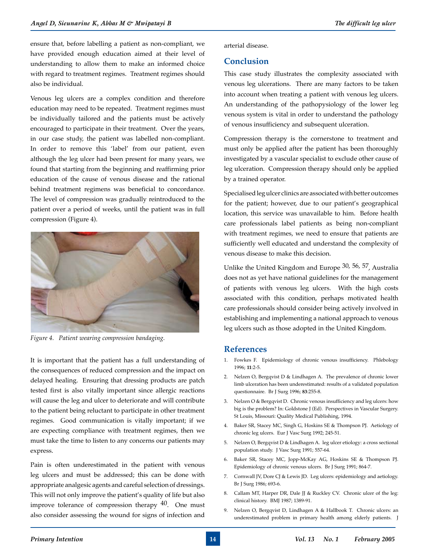ensure that, before labelling a patient as non-compliant, we have provided enough education aimed at their level of understanding to allow them to make an informed choice with regard to treatment regimes. Treatment regimes should also be individual.

Venous leg ulcers are a complex condition and therefore education may need to be repeated. Treatment regimes must be individually tailored and the patients must be actively encouraged to participate in their treatment. Over the years, in our case study, the patient was labelled non-compliant. In order to remove this 'label' from our patient, even although the leg ulcer had been present for many years, we found that starting from the beginning and reaffirming prior education of the cause of venous disease and the rational behind treatment regimens was beneficial to concordance. The level of compression was gradually reintroduced to the patient over a period of weeks, until the patient was in full compression (Figure 4).



*Figure 4. Patient wearing compression bandaging.*

It is important that the patient has a full understanding of the consequences of reduced compression and the impact on delayed healing. Ensuring that dressing products are patch tested first is also vitally important since allergic reactions will cause the leg and ulcer to deteriorate and will contribute to the patient being reluctant to participate in other treatment regimes. Good communication is vitally important; if we are expecting compliance with treatment regimes, then we must take the time to listen to any concerns our patients may express.

Pain is often underestimated in the patient with venous leg ulcers and must be addressed; this can be done with appropriate analgesic agents and careful selection of dressings. This will not only improve the patient's quality of life but also improve tolerance of compression therapy  $40$ . One must also consider assessing the wound for signs of infection and arterial disease.

## **Conclusion**

This case study illustrates the complexity associated with venous leg ulcerations. There are many factors to be taken into account when treating a patient with venous leg ulcers. An understanding of the pathopysiology of the lower leg venous system is vital in order to understand the pathology of venous insufficiency and subsequent ulceration.

Compression therapy is the cornerstone to treatment and must only be applied after the patient has been thoroughly investigated by a vascular specialist to exclude other cause of leg ulceration. Compression therapy should only be applied by a trained operator.

Specialised leg ulcer clinics are associated with better outcomes for the patient; however, due to our patient's geographical location, this service was unavailable to him. Before health care professionals label patients as being non-compliant with treatment regimes, we need to ensure that patients are sufficiently well educated and understand the complexity of venous disease to make this decision.

Unlike the United Kingdom and Europe 30, 56, 57, Australia does not as yet have national guidelines for the management of patients with venous leg ulcers. With the high costs associated with this condition, perhaps motivated health care professionals should consider being actively involved in establishing and implementing a national approach to venous leg ulcers such as those adopted in the United Kingdom.

## **References**

- 1. Fowkes F. Epidemiology of chronic venous insufficiency. Phlebology 1996; **11**:2-5.
- 2. Nelzen O, Bergqvist D & Lindhagen A. The prevalence of chronic lower limb ulceration has been underestimated: results of a validated population questionnaire. Br J Surg 1996; **83**:255-8.
- 3. Nelzen O & Bergqvist D. Chronic venous insufficiency and leg ulcers: how big is the problem? In: Goldstone J (Ed). Perspectives in Vascular Surgery. St Louis, Missouri: Quality Medical Publishing, 1994.
- 4. Baker SR, Stacey MC, Singh G, Hoskins SE & Thompson PJ. Aetiology of chronic leg ulcers. Eur J Vasc Surg 1992; 245-51.
- 5. Nelzen O, Bergqvist D & Lindhagen A. leg ulcer etiology: a cross sectional population study. J Vasc Surg 1991; 557-64.
- 6. Baker SR, Stacey MC, Jopp-McKay AG, Hoskins SE & Thompson PJ. Epidemiology of chronic venous ulcers. Br J Surg 1991; 864-7.
- 7. Cornwall JV, Dore CJ & Lewis JD. Leg ulcers: epidemiology and aetiology. Br J Surg 1986; 693-6.
- 8. Callam MT, Harper DR, Dale JJ & Ruckley CV. Chronic ulcer of the leg: clinical history. BMJ 1987; 1389-91.
- 9. Nelzen O, Bergqvist D, Lindhagen A & Hallbook T. Chronic ulcers: an underestimated problem in primary health among elderly patients. J